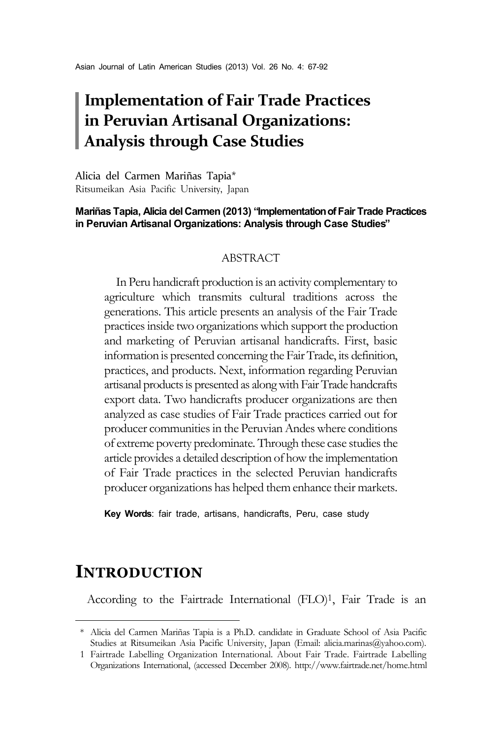# **Implementation of Fair Trade Practices in Peruvian Artisanal Organizations: Analysis through Case Studies**

Alicia del Carmen Mariñas Tapia\*1 Ritsumeikan Asia Pacific University, Japan

#### **Mariñas Tapia, Alicia del Carmen (2013) "Implementation of Fair Trade Practices in Peruvian Artisanal Organizations: Analysis through Case Studies"**

#### ABSTRACT

In Peru handicraft production is an activity complementary to agriculture which transmits cultural traditions across the generations. This article presents an analysis of the Fair Trade practices inside two organizations which support the production and marketing of Peruvian artisanal handicrafts. First, basic information is presented concerning the Fair Trade, its definition, practices, and products. Next, information regarding Peruvian artisanal products is presented as along with Fair Trade handcrafts export data. Two handicrafts producer organizations are then analyzed as case studies of Fair Trade practices carried out for producer communities in the Peruvian Andes where conditions of extreme poverty predominate. Through these case studies the article provides a detailed description of how the implementation of Fair Trade practices in the selected Peruvian handicrafts producer organizations has helped them enhance their markets.

**Key Words**: fair trade, artisans, handicrafts, Peru, case study

## **INTRODUCTION**

According to the Fairtrade International (FLO)<sup>1</sup>, Fair Trade is an

<sup>\*</sup> Alicia del Carmen Mariñas Tapia is a Ph.D. candidate in Graduate School of Asia Pacific Studies at Ritsumeikan Asia Pacific University, Japan (Email: alicia.marinas@yahoo.com).

<sup>1</sup> Fairtrade Labelling Organization International. About Fair Trade. Fairtrade Labelling Organizations International, (accessed December 2008). http://www.fairtrade.net/home.html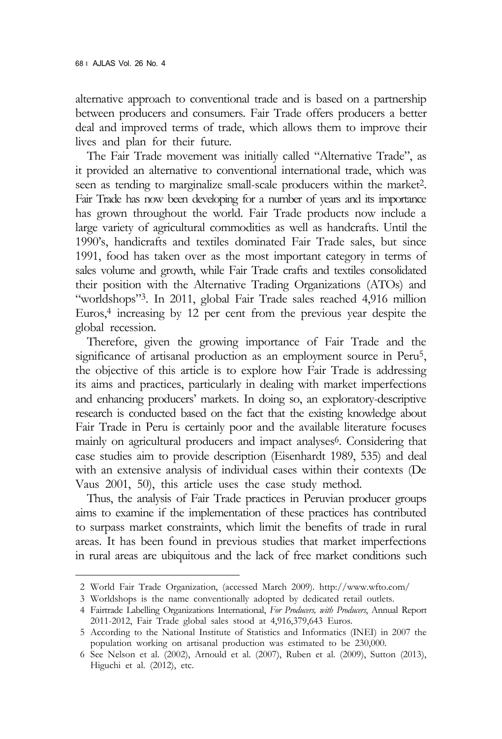alternative approach to conventional trade and is based on a partnership between producers and consumers. Fair Trade offers producers a better deal and improved terms of trade, which allows them to improve their lives and plan for their future.

The Fair Trade movement was initially called "Alternative Trade", as it provided an alternative to conventional international trade, which was seen as tending to marginalize small-scale producers within the market<sup>2</sup>. Fair Trade has now been developing for a number of years and its importance has grown throughout the world. Fair Trade products now include a large variety of agricultural commodities as well as handcrafts. Until the 1990's, handicrafts and textiles dominated Fair Trade sales, but since 1991, food has taken over as the most important category in terms of sales volume and growth, while Fair Trade crafts and textiles consolidated their position with the Alternative Trading Organizations (ATOs) and "worldshops"3. In 2011, global Fair Trade sales reached 4,916 million Euros,<sup>4</sup> increasing by 12 per cent from the previous year despite the global recession.

Therefore, given the growing importance of Fair Trade and the significance of artisanal production as an employment source in Peru<sup>5</sup>, the objective of this article is to explore how Fair Trade is addressing its aims and practices, particularly in dealing with market imperfections and enhancing producers' markets. In doing so, an exploratory-descriptive research is conducted based on the fact that the existing knowledge about Fair Trade in Peru is certainly poor and the available literature focuses mainly on agricultural producers and impact analyses<sup>6</sup>. Considering that case studies aim to provide description (Eisenhardt 1989, 535) and deal with an extensive analysis of individual cases within their contexts (De Vaus 2001, 50), this article uses the case study method.

Thus, the analysis of Fair Trade practices in Peruvian producer groups aims to examine if the implementation of these practices has contributed to surpass market constraints, which limit the benefits of trade in rural areas. It has been found in previous studies that market imperfections in rural areas are ubiquitous and the lack of free market conditions such

<sup>2</sup> World Fair Trade Organization, (accessed March 2009). http://www.wfto.com/

<sup>3</sup> Worldshops is the name conventionally adopted by dedicated retail outlets.

<sup>4</sup> Fairtrade Labelling Organizations International, *For Producers, with Producers*, Annual Report 2011-2012, Fair Trade global sales stood at 4,916,379,643 Euros.

<sup>5</sup> According to the National Institute of Statistics and Informatics (INEI) in 2007 the population working on artisanal production was estimated to be 230,000.

<sup>6</sup> See Nelson et al. (2002), Arnould et al. (2007), Ruben et al. (2009), Sutton (2013), Higuchi et al. (2012), etc.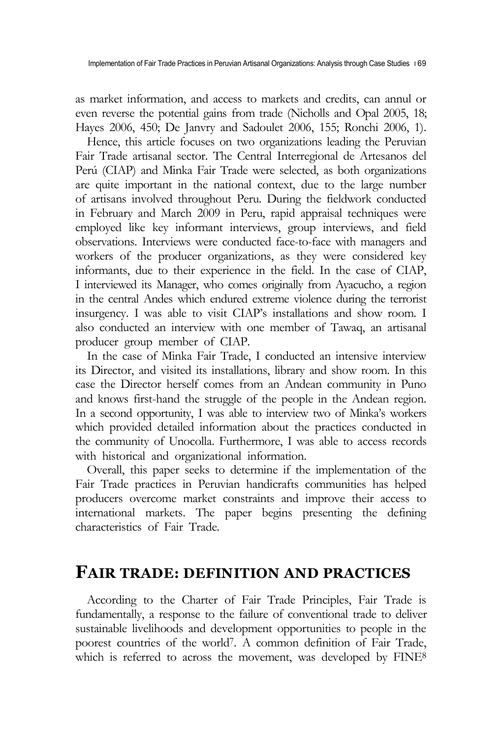Implementation of Fair Trade Practices in Peruvian Artisanal Organizations: Analysis through Case Studies 169

as market information, and access to markets and credits, can annul or even reverse the potential gains from trade (Nicholls and Opal 2005, 18; Hayes 2006, 450; De Janvry and Sadoulet 2006, 155; Ronchi 2006, 1).

Hence, this article focuses on two organizations leading the Peruvian Fair Trade artisanal sector. The Central Interregional de Artesanos del Perú (CIAP) and Minka Fair Trade were selected, as both organizations are quite important in the national context, due to the large number of artisans involved throughout Peru. During the fieldwork conducted in February and March 2009 in Peru, rapid appraisal techniques were employed like key informant interviews, group interviews, and field observations. Interviews were conducted face-to-face with managers and workers of the producer organizations, as they were considered key informants, due to their experience in the field. In the case of CIAP, I interviewed its Manager, who comes originally from Ayacucho, a region in the central Andes which endured extreme violence during the terrorist insurgency. I was able to visit CIAP's installations and show room. I also conducted an interview with one member of Tawaq, an artisanal producer group member of CIAP.

In the case of Minka Fair Trade, I conducted an intensive interview its Director, and visited its installations, library and show room. In this case the Director herself comes from an Andean community in Puno and knows first-hand the struggle of the people in the Andean region. In a second opportunity, I was able to interview two of Minka's workers which provided detailed information about the practices conducted in the community of Unocolla. Furthermore, I was able to access records with historical and organizational information.

Overall, this paper seeks to determine if the implementation of the Fair Trade practices in Peruvian handicrafts communities has helped producers overcome market constraints and improve their access to international markets. The paper begins presenting the defining characteristics of Fair Trade.

### **FAIR TRADE: DEFINITION AND PRACTICES**

According to the Charter of Fair Trade Principles, Fair Trade is fundamentally, a response to the failure of conventional trade to deliver sustainable livelihoods and development opportunities to people in the poorest countries of the world7. A common definition of Fair Trade, which is referred to across the movement, was developed by FINE<sup>8</sup>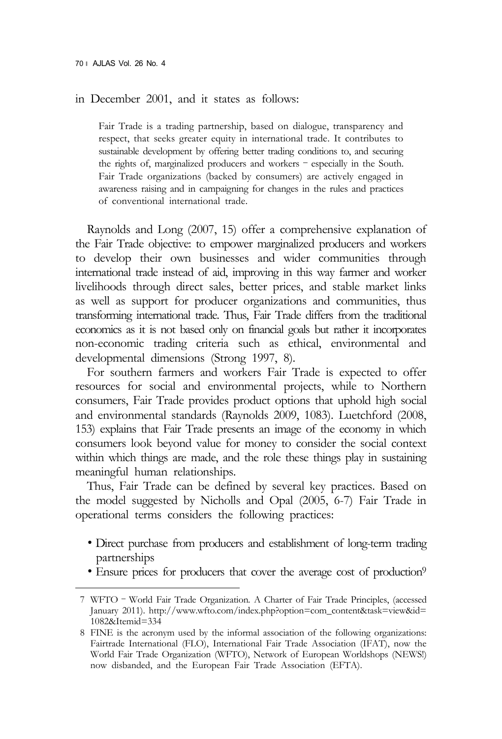in December 2001, and it states as follows:

Fair Trade is a trading partnership, based on dialogue, transparency and respect, that seeks greater equity in international trade. It contributes to sustainable development by offering better trading conditions to, and securing the rights of, marginalized producers and workers – especially in the South. Fair Trade organizations (backed by consumers) are actively engaged in awareness raising and in campaigning for changes in the rules and practices of conventional international trade.

Raynolds and Long (2007, 15) offer a comprehensive explanation of the Fair Trade objective: to empower marginalized producers and workers to develop their own businesses and wider communities through international trade instead of aid, improving in this way farmer and worker livelihoods through direct sales, better prices, and stable market links as well as support for producer organizations and communities, thus transforming international trade. Thus, Fair Trade differs from the traditional economics as it is not based only on financial goals but rather it incorporates non-economic trading criteria such as ethical, environmental and developmental dimensions (Strong 1997, 8).

For southern farmers and workers Fair Trade is expected to offer resources for social and environmental projects, while to Northern consumers, Fair Trade provides product options that uphold high social and environmental standards (Raynolds 2009, 1083). Luetchford (2008, 153) explains that Fair Trade presents an image of the economy in which consumers look beyond value for money to consider the social context within which things are made, and the role these things play in sustaining meaningful human relationships.

Thus, Fair Trade can be defined by several key practices. Based on the model suggested by Nicholls and Opal (2005, 6-7) Fair Trade in operational terms considers the following practices:

- ∙ Direct purchase from producers and establishment of long-term trading partnerships ● Ensure prices for producers that cover the average cost of production<sup>9</sup>
- 

<sup>7</sup> WFTO – World Fair Trade Organization. A Charter of Fair Trade Principles, (accessed January 2011). http://www.wfto.com/index.php?option=com\_content&task=view&id= 1082&Itemid=334

<sup>8</sup> FINE is the acronym used by the informal association of the following organizations: Fairtrade International (FLO), International Fair Trade Association (IFAT), now the World Fair Trade Organization (WFTO), Network of European Worldshops (NEWS!) now disbanded, and the European Fair Trade Association (EFTA).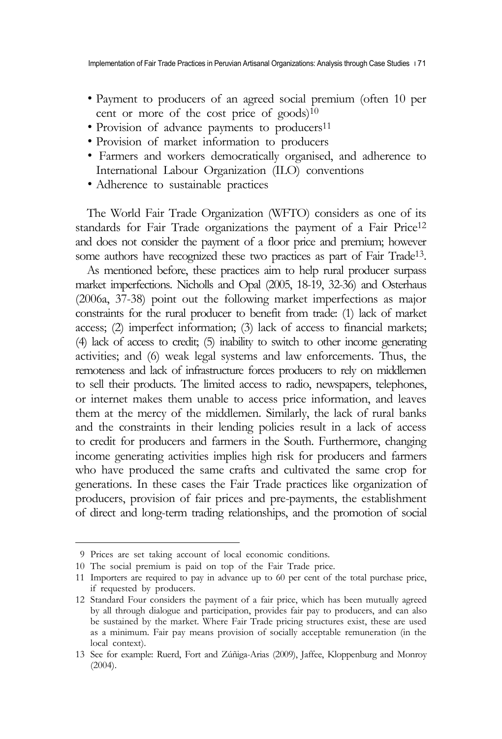- Payment to producers of an agreed social premium (often 10 per cent or more of the cost price of goods)<sup>10</sup>
- 
- 
- Provision of advance payments to producers<sup>11</sup><br>• Provision of market information to producers<br>• Farmers and workers democratically organised, and adherence to International Labour Organization (ILO) conventions <sup>∙</sup> Adherence to sustainable practices
- 

The World Fair Trade Organization (WFTO) considers as one of its standards for Fair Trade organizations the payment of a Fair Price12 and does not consider the payment of a floor price and premium; however some authors have recognized these two practices as part of Fair Trade<sup>13</sup>. As mentioned before, these practices aim to help rural producer surpass

market imperfections. Nicholls and Opal (2005, 18-19, 32-36) and Osterhaus (2006a, 37-38) point out the following market imperfections as major constraints for the rural producer to benefit from trade: (1) lack of market access; (2) imperfect information; (3) lack of access to financial markets; (4) lack of access to credit; (5) inability to switch to other income generating activities; and (6) weak legal systems and law enforcements. Thus, the remoteness and lack of infrastructure forces producers to rely on middlemen to sell their products. The limited access to radio, newspapers, telephones, or internet makes them unable to access price information, and leaves them at the mercy of the middlemen. Similarly, the lack of rural banks and the constraints in their lending policies result in a lack of access to credit for producers and farmers in the South. Furthermore, changing income generating activities implies high risk for producers and farmers who have produced the same crafts and cultivated the same crop for generations. In these cases the Fair Trade practices like organization of producers, provision of fair prices and pre-payments, the establishment of direct and long-term trading relationships, and the promotion of social

<sup>9</sup> Prices are set taking account of local economic conditions.

<sup>10</sup> The social premium is paid on top of the Fair Trade price.

<sup>11</sup> Importers are required to pay in advance up to 60 per cent of the total purchase price, if requested by producers.

<sup>12</sup> Standard Four considers the payment of a fair price, which has been mutually agreed by all through dialogue and participation, provides fair pay to producers, and can also<br>be sustained by the market. Where Fair Trade pricing structures exist, these are used as a minimum. Fair pay means provision of socially acceptable remuneration (in the local context).

<sup>13</sup> See for example: Ruerd, Fort and Zúñiga-Arias (2009), Jaffee, Kloppenburg and Monroy (2004).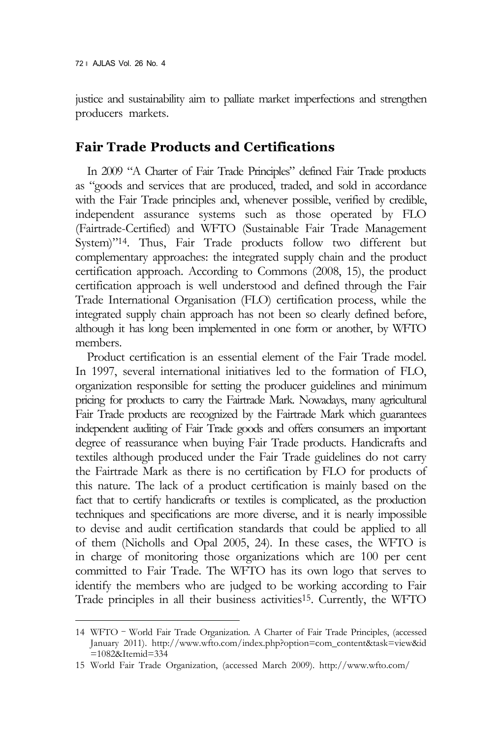justice and sustainability aim to palliate market imperfections and strengthen producers markets.

#### **Fair Trade Products and Certifications**

In 2009 "A Charter of Fair Trade Principles" defined Fair Trade products as "goods and services that are produced, traded, and sold in accordance with the Fair Trade principles and, whenever possible, verified by credible, independent assurance systems such as those operated by FLO (Fairtrade-Certified) and WFTO (Sustainable Fair Trade Management System)"14. Thus, Fair Trade products follow two different but complementary approaches: the integrated supply chain and the product certification approach. According to Commons (2008, 15), the product certification approach is well understood and defined through the Fair Trade International Organisation (FLO) certification process, while the integrated supply chain approach has not been so clearly defined before, although it has long been implemented in one form or another, by WFTO members.

Product certification is an essential element of the Fair Trade model. In 1997, several international initiatives led to the formation of FLO, organization responsible for setting the producer guidelines and minimum pricing for products to carry the Fairtrade Mark. Nowadays, many agricultural Fair Trade products are recognized by the Fairtrade Mark which guarantees independent auditing of Fair Trade goods and offers consumers an important degree of reassurance when buying Fair Trade products. Handicrafts and textiles although produced under the Fair Trade guidelines do not carry the Fairtrade Mark as there is no certification by FLO for products of this nature. The lack of a product certification is mainly based on the fact that to certify handicrafts or textiles is complicated, as the production techniques and specifications are more diverse, and it is nearly impossible to devise and audit certification standards that could be applied to all of them (Nicholls and Opal 2005, 24). In these cases, the WFTO is in charge of monitoring those organizations which are 100 per cent committed to Fair Trade. The WFTO has its own logo that serves to identify the members who are judged to be working according to Fair Trade principles in all their business activities15. Currently, the WFTO

<sup>14</sup> WFTO – World Fair Trade Organization. A Charter of Fair Trade Principles, (accessed January 2011). http://www.wfto.com/index.php?option=com\_content&task=view&id =1082&Itemid=334

<sup>15</sup> World Fair Trade Organization, (accessed March 2009). http://www.wfto.com/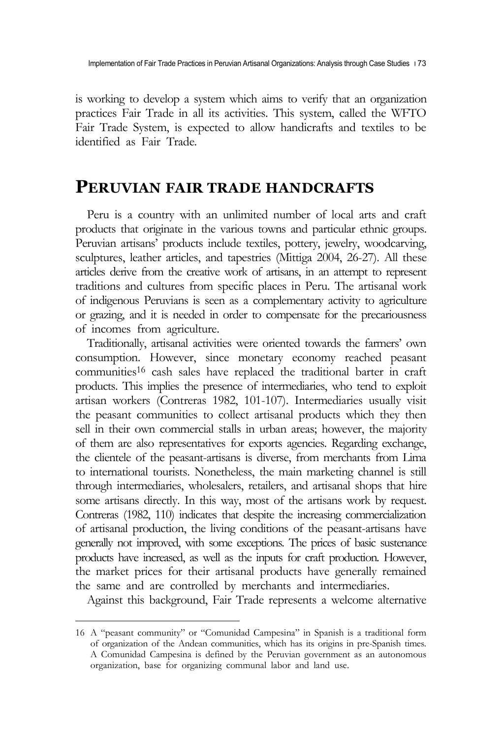is working to develop a system which aims to verify that an organization practices Fair Trade in all its activities. This system, called the WFTO Fair Trade System, is expected to allow handicrafts and textiles to be identified as Fair Trade.

### **PERUVIAN FAIR TRADE HANDCRAFTS**

Peru is a country with an unlimited number of local arts and craft products that originate in the various towns and particular ethnic groups. Peruvian artisans' products include textiles, pottery, jewelry, woodcarving, sculptures, leather articles, and tapestries (Mittiga 2004, 26-27). All these articles derive from the creative work of artisans, in an attempt to represent traditions and cultures from specific places in Peru. The artisanal work of indigenous Peruvians is seen as a complementary activity to agriculture or grazing, and it is needed in order to compensate for the precariousness of incomes from agriculture.

Traditionally, artisanal activities were oriented towards the farmers' own consumption. However, since monetary economy reached peasant communities16 cash sales have replaced the traditional barter in craft products. This implies the presence of intermediaries, who tend to exploit artisan workers (Contreras 1982, 101-107). Intermediaries usually visit the peasant communities to collect artisanal products which they then sell in their own commercial stalls in urban areas; however, the majority of them are also representatives for exports agencies. Regarding exchange, the clientele of the peasant-artisans is diverse, from merchants from Lima to international tourists. Nonetheless, the main marketing channel is still through intermediaries, wholesalers, retailers, and artisanal shops that hire some artisans directly. In this way, most of the artisans work by request. Contreras (1982, 110) indicates that despite the increasing commercialization of artisanal production, the living conditions of the peasant-artisans have generally not improved, with some exceptions. The prices of basic sustenance products have increased, as well as the inputs for craft production. However, the market prices for their artisanal products have generally remained the same and are controlled by merchants and intermediaries.

Against this background, Fair Trade represents a welcome alternative

<sup>16</sup> A "peasant community" or "Comunidad Campesina" in Spanish is a traditional form of organization of the Andean communities, which has its origins in pre-Spanish times. A Comunidad Campesina is defined by the Peruvian government as an autonomous organization, base for organizing communal labor and land use.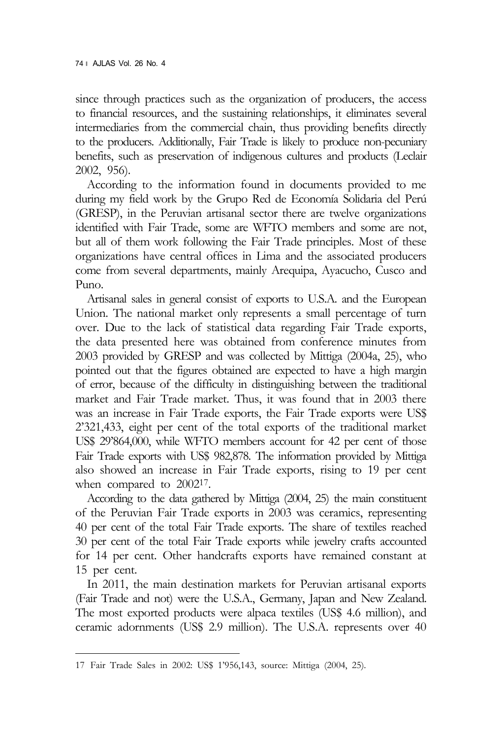since through practices such as the organization of producers, the access to financial resources, and the sustaining relationships, it eliminates several intermediaries from the commercial chain, thus providing benefits directly to the producers. Additionally, Fair Trade is likely to produce non-pecuniary benefits, such as preservation of indigenous cultures and products (Leclair 2002, 956).

According to the information found in documents provided to me during my field work by the Grupo Red de Economía Solidaria del Perú (GRESP), in the Peruvian artisanal sector there are twelve organizations identified with Fair Trade, some are WFTO members and some are not, but all of them work following the Fair Trade principles. Most of these organizations have central offices in Lima and the associated producers come from several departments, mainly Arequipa, Ayacucho, Cusco and Puno.

Artisanal sales in general consist of exports to U.S.A. and the European Union. The national market only represents a small percentage of turn over. Due to the lack of statistical data regarding Fair Trade exports, the data presented here was obtained from conference minutes from 2003 provided by GRESP and was collected by Mittiga (2004a, 25), who pointed out that the figures obtained are expected to have a high margin of error, because of the difficulty in distinguishing between the traditional market and Fair Trade market. Thus, it was found that in 2003 there was an increase in Fair Trade exports, the Fair Trade exports were US\$ 2'321,433, eight per cent of the total exports of the traditional market US\$ 29'864,000, while WFTO members account for 42 per cent of those Fair Trade exports with US\$ 982,878. The information provided by Mittiga also showed an increase in Fair Trade exports, rising to 19 per cent

when compared to 2002<sup>17</sup>.<br>According to the data gathered by Mittiga (2004, 25) the main constituent of the Peruvian Fair Trade exports in 2003 was ceramics, representing 40 per cent of the total Fair Trade exports. The share of textiles reached 30 per cent of the total Fair Trade exports while jewelry crafts accounted for 14 per cent. Other handcrafts exports have remained constant at 15 per cent.

In 2011, the main destination markets for Peruvian artisanal exports (Fair Trade and not) were the U.S.A., Germany, Japan and New Zealand. The most exported products were alpaca textiles (US\$ 4.6 million), and ceramic adornments (US\$ 2.9 million). The U.S.A. represents over 40

<sup>17</sup> Fair Trade Sales in 2002: US\$ 1'956,143, source: Mittiga (2004, 25).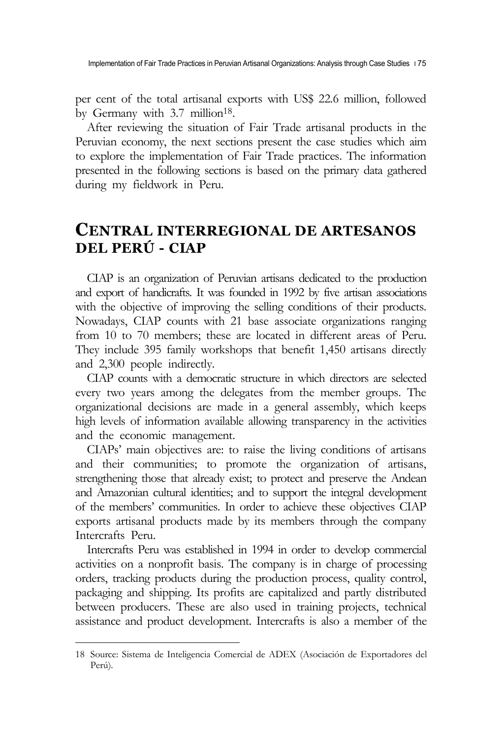per cent of the total artisanal exports with US\$ 22.6 million, followed by Germany with 3.7 million<sup>18</sup>.

After reviewing the situation of Fair Trade artisanal products in the Peruvian economy, the next sections present the case studies which aim to explore the implementation of Fair Trade practices. The information presented in the following sections is based on the primary data gathered during my fieldwork in Peru.

## **CENTRAL INTERREGIONAL DE ARTESANOS DEL PERÚ - CIAP**

CIAP is an organization of Peruvian artisans dedicated to the production and export of handicrafts. It was founded in 1992 by five artisan associations with the objective of improving the selling conditions of their products. Nowadays, CIAP counts with 21 base associate organizations ranging from 10 to 70 members; these are located in different areas of Peru. They include 395 family workshops that benefit 1,450 artisans directly and 2,300 people indirectly.

CIAP counts with a democratic structure in which directors are selected every two years among the delegates from the member groups. The organizational decisions are made in a general assembly, which keeps high levels of information available allowing transparency in the activities and the economic management.

CIAPs' main objectives are: to raise the living conditions of artisans and their communities; to promote the organization of artisans, strengthening those that already exist; to protect and preserve the Andean and Amazonian cultural identities; and to support the integral development of the members' communities. In order to achieve these objectives CIAP exports artisanal products made by its members through the company Intercrafts Peru.

Intercrafts Peru was established in 1994 in order to develop commercial activities on a nonprofit basis. The company is in charge of processing orders, tracking products during the production process, quality control, packaging and shipping. Its profits are capitalized and partly distributed between producers. These are also used in training projects, technical assistance and product development. Intercrafts is also a member of the

<sup>18</sup> Source: Sistema de Inteligencia Comercial de ADEX (Asociación de Exportadores del Perú).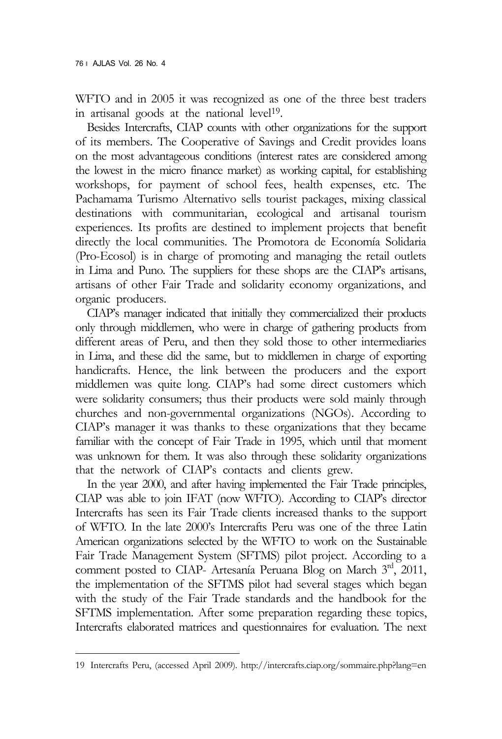WFTO and in 2005 it was recognized as one of the three best traders in artisanal goods at the national level<sup>19</sup>. Besides Intercrafts, CIAP counts with other organizations for the support

of its members. The Cooperative of Savings and Credit provides loans on the most advantageous conditions (interest rates are considered among the lowest in the micro finance market) as working capital, for establishing workshops, for payment of school fees, health expenses, etc. The Pachamama Turismo Alternativo sells tourist packages, mixing classical destinations with communitarian, ecological and artisanal tourism experiences. Its profits are destined to implement projects that benefit directly the local communities. The Promotora de Economía Solidaria (Pro-Ecosol) is in charge of promoting and managing the retail outlets in Lima and Puno. The suppliers for these shops are the CIAP's artisans, artisans of other Fair Trade and solidarity economy organizations, and organic producers.

CIAP's manager indicated that initially they commercialized their products only through middlemen, who were in charge of gathering products from different areas of Peru, and then they sold those to other intermediaries in Lima, and these did the same, but to middlemen in charge of exporting handicrafts. Hence, the link between the producers and the export middlemen was quite long. CIAP's had some direct customers which were solidarity consumers; thus their products were sold mainly through churches and non-governmental organizations (NGOs). According to CIAP's manager it was thanks to these organizations that they became familiar with the concept of Fair Trade in 1995, which until that moment was unknown for them. It was also through these solidarity organizations that the network of CIAP's contacts and clients grew.

In the year 2000, and after having implemented the Fair Trade principles, CIAP was able to join IFAT (now WFTO). According to CIAP's director Intercrafts has seen its Fair Trade clients increased thanks to the support of WFTO. In the late 2000's Intercrafts Peru was one of the three Latin American organizations selected by the WFTO to work on the Sustainable Fair Trade Management System (SFTMS) pilot project. According to a comment posted to CIAP- Artesanía Peruana Blog on March 3rd, 2011, the implementation of the SFTMS pilot had several stages which began with the study of the Fair Trade standards and the handbook for the SFTMS implementation. After some preparation regarding these topics, Intercrafts elaborated matrices and questionnaires for evaluation. The next

<sup>19</sup> Intercrafts Peru, (accessed April 2009). http://intercrafts.ciap.org/sommaire.php?lang=en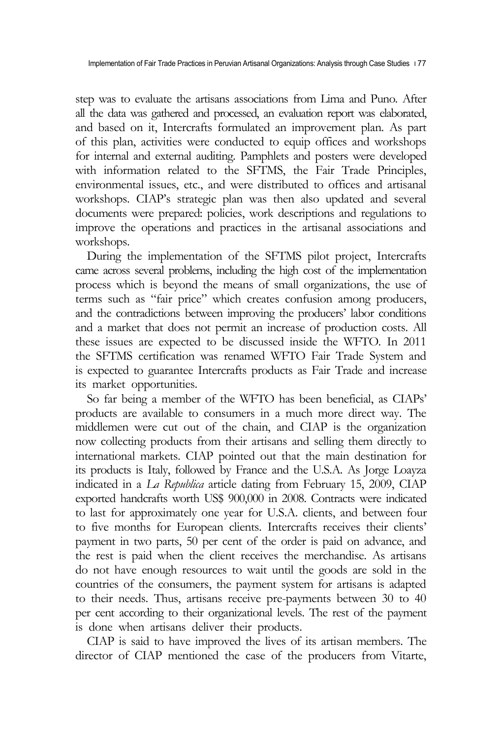step was to evaluate the artisans associations from Lima and Puno. After all the data was gathered and processed, an evaluation report was elaborated, and based on it, Intercrafts formulated an improvement plan. As part of this plan, activities were conducted to equip offices and workshops for internal and external auditing. Pamphlets and posters were developed with information related to the SFTMS, the Fair Trade Principles, environmental issues, etc., and were distributed to offices and artisanal workshops. CIAP's strategic plan was then also updated and several documents were prepared: policies, work descriptions and regulations to improve the operations and practices in the artisanal associations and workshops.

During the implementation of the SFTMS pilot project, Intercrafts came across several problems, including the high cost of the implementation process which is beyond the means of small organizations, the use of terms such as "fair price" which creates confusion among producers, and the contradictions between improving the producers' labor conditions and a market that does not permit an increase of production costs. All these issues are expected to be discussed inside the WFTO. In 2011 the SFTMS certification was renamed WFTO Fair Trade System and is expected to guarantee Intercrafts products as Fair Trade and increase its market opportunities.

So far being a member of the WFTO has been beneficial, as CIAPs' products are available to consumers in a much more direct way. The middlemen were cut out of the chain, and CIAP is the organization now collecting products from their artisans and selling them directly to international markets. CIAP pointed out that the main destination for its products is Italy, followed by France and the U.S.A. As Jorge Loayza indicated in a *La Republica* article dating from February 15, 2009, CIAP exported handcrafts worth US\$ 900,000 in 2008. Contracts were indicated to last for approximately one year for U.S.A. clients, and between four to five months for European clients. Intercrafts receives their clients' payment in two parts, 50 per cent of the order is paid on advance, and the rest is paid when the client receives the merchandise. As artisans do not have enough resources to wait until the goods are sold in the countries of the consumers, the payment system for artisans is adapted to their needs. Thus, artisans receive pre-payments between 30 to 40 per cent according to their organizational levels. The rest of the payment is done when artisans deliver their products.

CIAP is said to have improved the lives of its artisan members. The director of CIAP mentioned the case of the producers from Vitarte,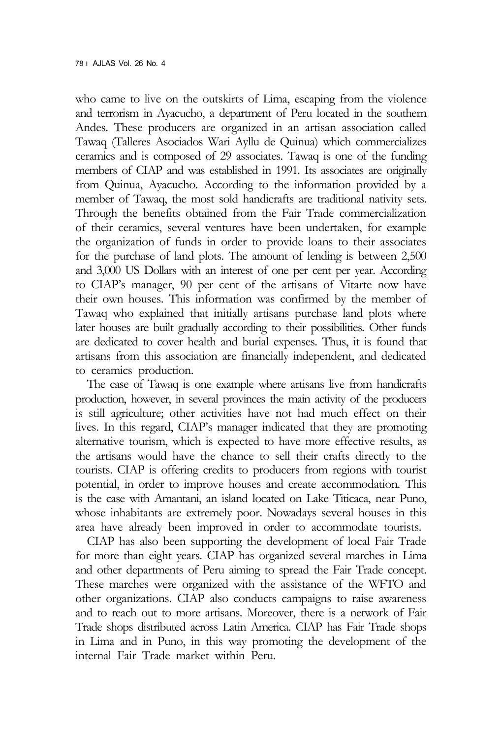who came to live on the outskirts of Lima, escaping from the violence and terrorism in Ayacucho, a department of Peru located in the southern Andes. These producers are organized in an artisan association called Tawaq (Talleres Asociados Wari Ayllu de Quinua) which commercializes ceramics and is composed of 29 associates. Tawaq is one of the funding members of CIAP and was established in 1991. Its associates are originally from Quinua, Ayacucho. According to the information provided by a member of Tawaq, the most sold handicrafts are traditional nativity sets. Through the benefits obtained from the Fair Trade commercialization of their ceramics, several ventures have been undertaken, for example the organization of funds in order to provide loans to their associates for the purchase of land plots. The amount of lending is between 2,500 and 3,000 US Dollars with an interest of one per cent per year. According to CIAP's manager, 90 per cent of the artisans of Vitarte now have their own houses. This information was confirmed by the member of Tawaq who explained that initially artisans purchase land plots where later houses are built gradually according to their possibilities. Other funds are dedicated to cover health and burial expenses. Thus, it is found that artisans from this association are financially independent, and dedicated to ceramics production.

The case of Tawaq is one example where artisans live from handicrafts production, however, in several provinces the main activity of the producers is still agriculture; other activities have not had much effect on their lives. In this regard, CIAP's manager indicated that they are promoting alternative tourism, which is expected to have more effective results, as the artisans would have the chance to sell their crafts directly to the tourists. CIAP is offering credits to producers from regions with tourist potential, in order to improve houses and create accommodation. This is the case with Amantani, an island located on Lake Titicaca, near Puno, whose inhabitants are extremely poor. Nowadays several houses in this area have already been improved in order to accommodate tourists.

CIAP has also been supporting the development of local Fair Trade for more than eight years. CIAP has organized several marches in Lima and other departments of Peru aiming to spread the Fair Trade concept. These marches were organized with the assistance of the WFTO and other organizations. CIAP also conducts campaigns to raise awareness and to reach out to more artisans. Moreover, there is a network of Fair Trade shops distributed across Latin America. CIAP has Fair Trade shops in Lima and in Puno, in this way promoting the development of the internal Fair Trade market within Peru.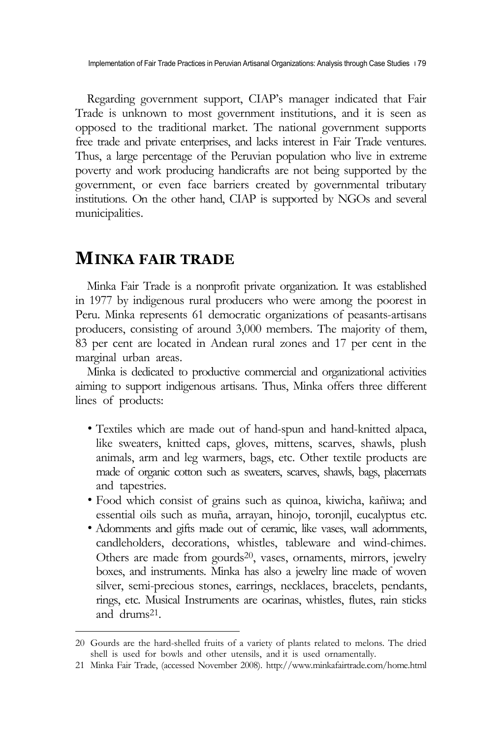Implementation of Fair Trade Practices in Peruvian Artisanal Organizations: Analysis through Case Studies  $\vert$ 79

Regarding government support, CIAP's manager indicated that Fair Trade is unknown to most government institutions, and it is seen as opposed to the traditional market. The national government supports free trade and private enterprises, and lacks interest in Fair Trade ventures. Thus, a large percentage of the Peruvian population who live in extreme poverty and work producing handicrafts are not being supported by the government, or even face barriers created by governmental tributary institutions. On the other hand, CIAP is supported by NGOs and several municipalities.

### **MINKA FAIR TRADE**

Minka Fair Trade is a nonprofit private organization. It was established in 1977 by indigenous rural producers who were among the poorest in Peru. Minka represents 61 democratic organizations of peasants-artisans producers, consisting of around 3,000 members. The majority of them, 83 per cent are located in Andean rural zones and 17 per cent in the marginal urban areas.

Minka is dedicated to productive commercial and organizational activities aiming to support indigenous artisans. Thus, Minka offers three different lines of products:

- ∙ Textiles which are made out of hand-spun and hand-knitted alpaca, like sweaters, knitted caps, gloves, mittens, scarves, shawls, plush animals, arm and leg warmers, bags, etc. Other textile products are made of organic cotton such as sweaters, scarves, shawls, bags, placemats and tapestries. <sup>∙</sup> Food which consist of grains such as quinoa, kiwicha, kañiwa; and
- essential oils such as muña, arrayan, hinojo, toronjil, eucalyptus etc. <sup>∙</sup> Adornments and gifts made out of ceramic, like vases, wall adornments,
- candleholders, decorations, whistles, tableware and wind-chimes. Others are made from gourds20, vases, ornaments, mirrors, jewelry boxes, and instruments. Minka has also a jewelry line made of woven silver, semi-precious stones, earrings, necklaces, bracelets, pendants, rings, etc. Musical Instruments are ocarinas, whistles, flutes, rain sticks and drums21.

<sup>20</sup> Gourds are the hard-shelled fruits of a variety of plants related to melons. The dried shell is used for bowls and other utensils, and it is used ornamentally.

<sup>21</sup> Minka Fair Trade, (accessed November 2008). http://www.minkafairtrade.com/home.html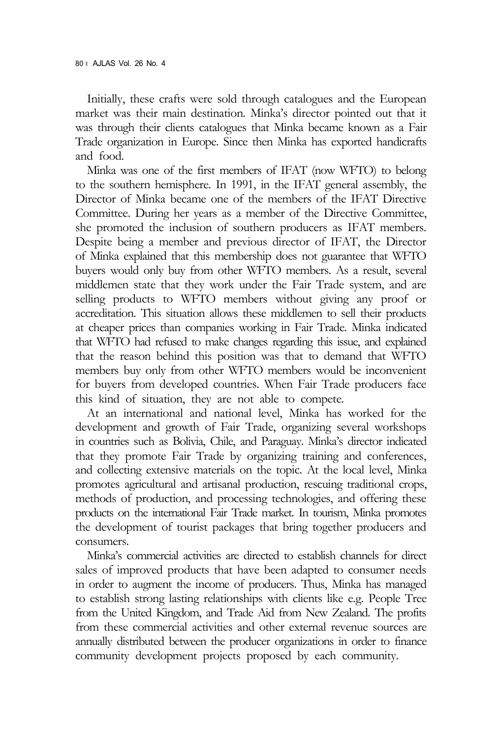Initially, these crafts were sold through catalogues and the European market was their main destination. Minka's director pointed out that it was through their clients catalogues that Minka became known as a Fair Trade organization in Europe. Since then Minka has exported handicrafts and food.

Minka was one of the first members of IFAT (now WFTO) to belong to the southern hemisphere. In 1991, in the IFAT general assembly, the Director of Minka became one of the members of the IFAT Directive Committee. During her years as a member of the Directive Committee, she promoted the inclusion of southern producers as IFAT members. Despite being a member and previous director of IFAT, the Director of Minka explained that this membership does not guarantee that WFTO buyers would only buy from other WFTO members. As a result, several middlemen state that they work under the Fair Trade system, and are selling products to WFTO members without giving any proof or accreditation. This situation allows these middlemen to sell their products at cheaper prices than companies working in Fair Trade. Minka indicated that WFTO had refused to make changes regarding this issue, and explained that the reason behind this position was that to demand that WFTO members buy only from other WFTO members would be inconvenient for buyers from developed countries. When Fair Trade producers face this kind of situation, they are not able to compete.

At an international and national level, Minka has worked for the development and growth of Fair Trade, organizing several workshops in countries such as Bolivia, Chile, and Paraguay. Minka's director indicated that they promote Fair Trade by organizing training and conferences, and collecting extensive materials on the topic. At the local level, Minka promotes agricultural and artisanal production, rescuing traditional crops, methods of production, and processing technologies, and offering these products on the international Fair Trade market. In tourism, Minka promotes the development of tourist packages that bring together producers and consumers.

Minka's commercial activities are directed to establish channels for direct sales of improved products that have been adapted to consumer needs in order to augment the income of producers. Thus, Minka has managed to establish strong lasting relationships with clients like e.g. People Tree from the United Kingdom, and Trade Aid from New Zealand. The profits from these commercial activities and other external revenue sources are annually distributed between the producer organizations in order to finance community development projects proposed by each community.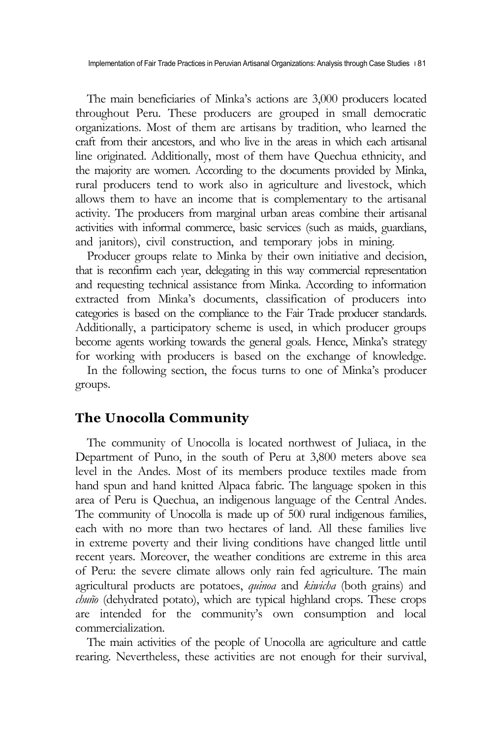Implementation of Fair Trade Practices in Peruvian Artisanal Organizations: Analysis through Case Studies ∣81

The main beneficiaries of Minka's actions are 3,000 producers located throughout Peru. These producers are grouped in small democratic organizations. Most of them are artisans by tradition, who learned the craft from their ancestors, and who live in the areas in which each artisanal line originated. Additionally, most of them have Quechua ethnicity, and the majority are women. According to the documents provided by Minka, rural producers tend to work also in agriculture and livestock, which allows them to have an income that is complementary to the artisanal activity. The producers from marginal urban areas combine their artisanal activities with informal commerce, basic services (such as maids, guardians, and janitors), civil construction, and temporary jobs in mining.

Producer groups relate to Minka by their own initiative and decision, that is reconfirm each year, delegating in this way commercial representation and requesting technical assistance from Minka. According to information extracted from Minka's documents, classification of producers into categories is based on the compliance to the Fair Trade producer standards. Additionally, a participatory scheme is used, in which producer groups become agents working towards the general goals. Hence, Minka's strategy for working with producers is based on the exchange of knowledge.

In the following section, the focus turns to one of Minka's producer groups.

#### **The Unocolla Community**

The community of Unocolla is located northwest of Juliaca, in the Department of Puno, in the south of Peru at 3,800 meters above sea level in the Andes. Most of its members produce textiles made from hand spun and hand knitted Alpaca fabric. The language spoken in this area of Peru is Quechua, an indigenous language of the Central Andes. The community of Unocolla is made up of 500 rural indigenous families, each with no more than two hectares of land. All these families live in extreme poverty and their living conditions have changed little until recent years. Moreover, the weather conditions are extreme in this area of Peru: the severe climate allows only rain fed agriculture. The main agricultural products are potatoes, *quinoa* and *kiwicha* (both grains) and *chuño* (dehydrated potato), which are typical highland crops. These crops are intended for the community's own consumption and local commercialization.

The main activities of the people of Unocolla are agriculture and cattle rearing. Nevertheless, these activities are not enough for their survival,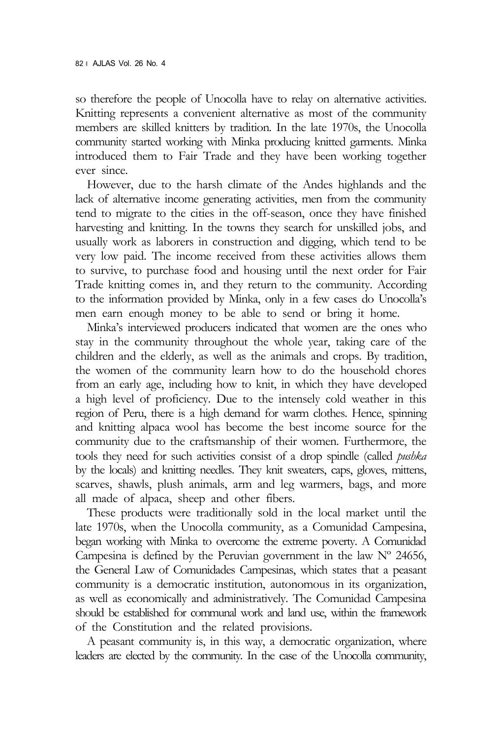so therefore the people of Unocolla have to relay on alternative activities. Knitting represents a convenient alternative as most of the community members are skilled knitters by tradition. In the late 1970s, the Unocolla community started working with Minka producing knitted garments. Minka introduced them to Fair Trade and they have been working together ever since.

However, due to the harsh climate of the Andes highlands and the lack of alternative income generating activities, men from the community tend to migrate to the cities in the off-season, once they have finished harvesting and knitting. In the towns they search for unskilled jobs, and usually work as laborers in construction and digging, which tend to be very low paid. The income received from these activities allows them to survive, to purchase food and housing until the next order for Fair Trade knitting comes in, and they return to the community. According to the information provided by Minka, only in a few cases do Unocolla's men earn enough money to be able to send or bring it home.

Minka's interviewed producers indicated that women are the ones who stay in the community throughout the whole year, taking care of the children and the elderly, as well as the animals and crops. By tradition, the women of the community learn how to do the household chores from an early age, including how to knit, in which they have developed a high level of proficiency. Due to the intensely cold weather in this region of Peru, there is a high demand for warm clothes. Hence, spinning and knitting alpaca wool has become the best income source for the community due to the craftsmanship of their women. Furthermore, the tools they need for such activities consist of a drop spindle (called *pushka* by the locals) and knitting needles. They knit sweaters, caps, gloves, mittens, scarves, shawls, plush animals, arm and leg warmers, bags, and more all made of alpaca, sheep and other fibers.

These products were traditionally sold in the local market until the late 1970s, when the Unocolla community, as a Comunidad Campesina, began working with Minka to overcome the extreme poverty. A Comunidad Campesina is defined by the Peruvian government in the law  $N^{\circ}$  24656, the General Law of Comunidades Campesinas, which states that a peasant community is a democratic institution, autonomous in its organization, as well as economically and administratively. The Comunidad Campesina should be established for communal work and land use, within the framework of the Constitution and the related provisions.

A peasant community is, in this way, a democratic organization, where leaders are elected by the community. In the case of the Unocolla community,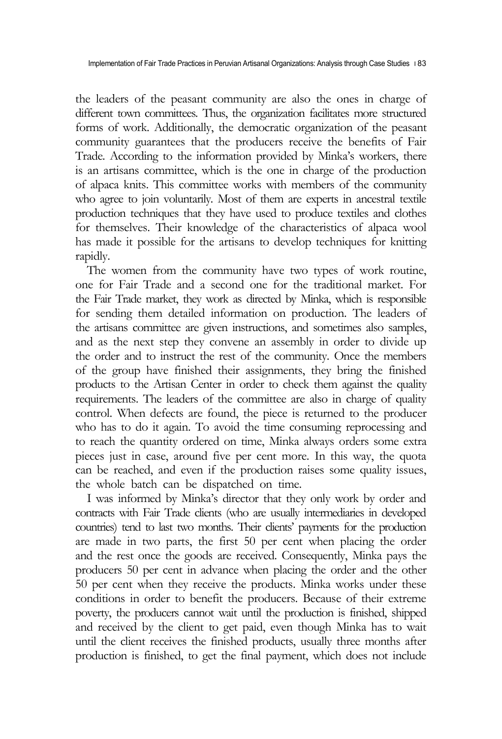the leaders of the peasant community are also the ones in charge of different town committees. Thus, the organization facilitates more structured forms of work. Additionally, the democratic organization of the peasant community guarantees that the producers receive the benefits of Fair Trade. According to the information provided by Minka's workers, there is an artisans committee, which is the one in charge of the production of alpaca knits. This committee works with members of the community who agree to join voluntarily. Most of them are experts in ancestral textile production techniques that they have used to produce textiles and clothes for themselves. Their knowledge of the characteristics of alpaca wool has made it possible for the artisans to develop techniques for knitting rapidly.

The women from the community have two types of work routine, one for Fair Trade and a second one for the traditional market. For the Fair Trade market, they work as directed by Minka, which is responsible for sending them detailed information on production. The leaders of the artisans committee are given instructions, and sometimes also samples, and as the next step they convene an assembly in order to divide up the order and to instruct the rest of the community. Once the members of the group have finished their assignments, they bring the finished products to the Artisan Center in order to check them against the quality requirements. The leaders of the committee are also in charge of quality control. When defects are found, the piece is returned to the producer who has to do it again. To avoid the time consuming reprocessing and to reach the quantity ordered on time, Minka always orders some extra pieces just in case, around five per cent more. In this way, the quota can be reached, and even if the production raises some quality issues, the whole batch can be dispatched on time.

I was informed by Minka's director that they only work by order and contracts with Fair Trade clients (who are usually intermediaries in developed countries) tend to last two months. Their clients' payments for the production are made in two parts, the first 50 per cent when placing the order and the rest once the goods are received. Consequently, Minka pays the producers 50 per cent in advance when placing the order and the other 50 per cent when they receive the products. Minka works under these conditions in order to benefit the producers. Because of their extreme poverty, the producers cannot wait until the production is finished, shipped and received by the client to get paid, even though Minka has to wait until the client receives the finished products, usually three months after production is finished, to get the final payment, which does not include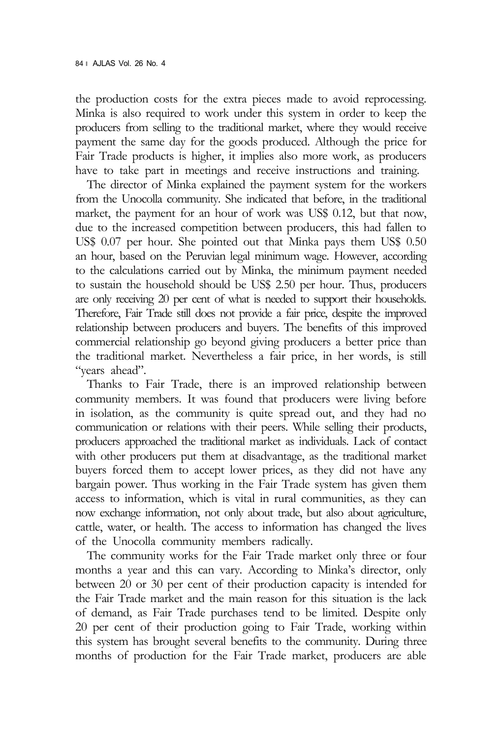the production costs for the extra pieces made to avoid reprocessing. Minka is also required to work under this system in order to keep the producers from selling to the traditional market, where they would receive payment the same day for the goods produced. Although the price for Fair Trade products is higher, it implies also more work, as producers have to take part in meetings and receive instructions and training.

The director of Minka explained the payment system for the workers from the Unocolla community. She indicated that before, in the traditional market, the payment for an hour of work was US\$ 0.12, but that now, due to the increased competition between producers, this had fallen to US\$ 0.07 per hour. She pointed out that Minka pays them US\$ 0.50 an hour, based on the Peruvian legal minimum wage. However, according to the calculations carried out by Minka, the minimum payment needed to sustain the household should be US\$ 2.50 per hour. Thus, producers are only receiving 20 per cent of what is needed to support their households. Therefore, Fair Trade still does not provide a fair price, despite the improved relationship between producers and buyers. The benefits of this improved commercial relationship go beyond giving producers a better price than the traditional market. Nevertheless a fair price, in her words, is still "years ahead".

Thanks to Fair Trade, there is an improved relationship between community members. It was found that producers were living before in isolation, as the community is quite spread out, and they had no communication or relations with their peers. While selling their products, producers approached the traditional market as individuals. Lack of contact with other producers put them at disadvantage, as the traditional market buyers forced them to accept lower prices, as they did not have any bargain power. Thus working in the Fair Trade system has given them access to information, which is vital in rural communities, as they can now exchange information, not only about trade, but also about agriculture, cattle, water, or health. The access to information has changed the lives of the Unocolla community members radically.

The community works for the Fair Trade market only three or four months a year and this can vary. According to Minka's director, only between 20 or 30 per cent of their production capacity is intended for the Fair Trade market and the main reason for this situation is the lack of demand, as Fair Trade purchases tend to be limited. Despite only 20 per cent of their production going to Fair Trade, working within this system has brought several benefits to the community. During three months of production for the Fair Trade market, producers are able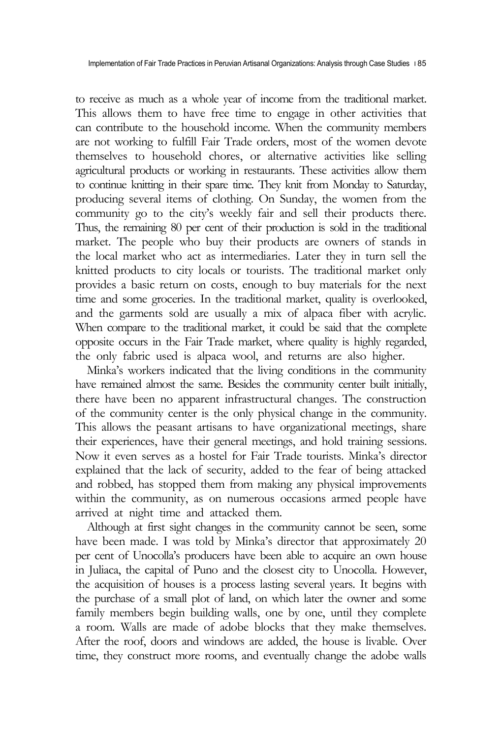to receive as much as a whole year of income from the traditional market. This allows them to have free time to engage in other activities that can contribute to the household income. When the community members are not working to fulfill Fair Trade orders, most of the women devote themselves to household chores, or alternative activities like selling agricultural products or working in restaurants. These activities allow them to continue knitting in their spare time. They knit from Monday to Saturday, producing several items of clothing. On Sunday, the women from the community go to the city's weekly fair and sell their products there. Thus, the remaining 80 per cent of their production is sold in the traditional market. The people who buy their products are owners of stands in the local market who act as intermediaries. Later they in turn sell the knitted products to city locals or tourists. The traditional market only provides a basic return on costs, enough to buy materials for the next time and some groceries. In the traditional market, quality is overlooked, and the garments sold are usually a mix of alpaca fiber with acrylic. When compare to the traditional market, it could be said that the complete opposite occurs in the Fair Trade market, where quality is highly regarded, the only fabric used is alpaca wool, and returns are also higher.

Minka's workers indicated that the living conditions in the community have remained almost the same. Besides the community center built initially, there have been no apparent infrastructural changes. The construction of the community center is the only physical change in the community. This allows the peasant artisans to have organizational meetings, share their experiences, have their general meetings, and hold training sessions. Now it even serves as a hostel for Fair Trade tourists. Minka's director explained that the lack of security, added to the fear of being attacked and robbed, has stopped them from making any physical improvements within the community, as on numerous occasions armed people have arrived at night time and attacked them.

Although at first sight changes in the community cannot be seen, some have been made. I was told by Minka's director that approximately 20 per cent of Unocolla's producers have been able to acquire an own house in Juliaca, the capital of Puno and the closest city to Unocolla. However, the acquisition of houses is a process lasting several years. It begins with the purchase of a small plot of land, on which later the owner and some family members begin building walls, one by one, until they complete a room. Walls are made of adobe blocks that they make themselves. After the roof, doors and windows are added, the house is livable. Over time, they construct more rooms, and eventually change the adobe walls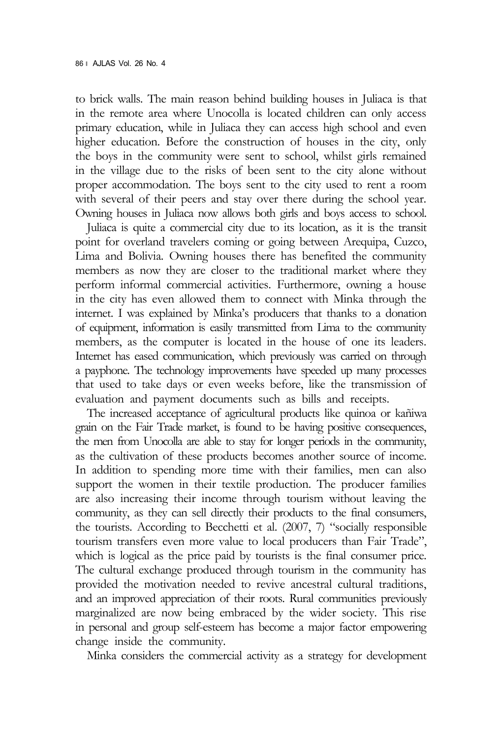to brick walls. The main reason behind building houses in Juliaca is that in the remote area where Unocolla is located children can only access primary education, while in Juliaca they can access high school and even higher education. Before the construction of houses in the city, only the boys in the community were sent to school, whilst girls remained in the village due to the risks of been sent to the city alone without proper accommodation. The boys sent to the city used to rent a room with several of their peers and stay over there during the school year. Owning houses in Juliaca now allows both girls and boys access to school.

Juliaca is quite a commercial city due to its location, as it is the transit point for overland travelers coming or going between Arequipa, Cuzco, Lima and Bolivia. Owning houses there has benefited the community members as now they are closer to the traditional market where they perform informal commercial activities. Furthermore, owning a house in the city has even allowed them to connect with Minka through the internet. I was explained by Minka's producers that thanks to a donation of equipment, information is easily transmitted from Lima to the community members, as the computer is located in the house of one its leaders. Internet has eased communication, which previously was carried on through a payphone. The technology improvements have speeded up many processes that used to take days or even weeks before, like the transmission of evaluation and payment documents such as bills and receipts.

The increased acceptance of agricultural products like quinoa or kañiwa grain on the Fair Trade market, is found to be having positive consequences, the men from Unocolla are able to stay for longer periods in the community, as the cultivation of these products becomes another source of income. In addition to spending more time with their families, men can also support the women in their textile production. The producer families are also increasing their income through tourism without leaving the community, as they can sell directly their products to the final consumers, the tourists. According to Becchetti et al. (2007, 7) "socially responsible tourism transfers even more value to local producers than Fair Trade", which is logical as the price paid by tourists is the final consumer price. The cultural exchange produced through tourism in the community has provided the motivation needed to revive ancestral cultural traditions, and an improved appreciation of their roots. Rural communities previously marginalized are now being embraced by the wider society. This rise in personal and group self-esteem has become a major factor empowering change inside the community.

Minka considers the commercial activity as a strategy for development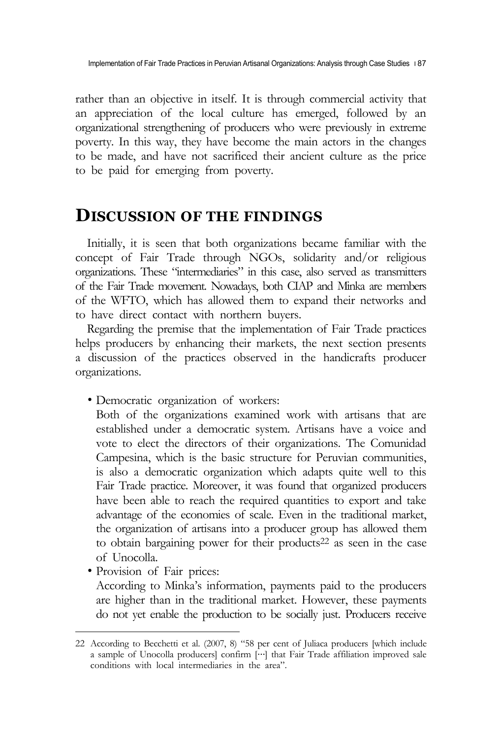rather than an objective in itself. It is through commercial activity that an appreciation of the local culture has emerged, followed by an organizational strengthening of producers who were previously in extreme poverty. In this way, they have become the main actors in the changes to be made, and have not sacrificed their ancient culture as the price to be paid for emerging from poverty.

## **DISCUSSION OF THE FINDINGS**

Initially, it is seen that both organizations became familiar with the concept of Fair Trade through NGOs, solidarity and/or religious organizations. These "intermediaries" in this case, also served as transmitters of the Fair Trade movement. Nowadays, both CIAP and Minka are members of the WFTO, which has allowed them to expand their networks and to have direct contact with northern buyers.

Regarding the premise that the implementation of Fair Trade practices helps producers by enhancing their markets, the next section presents a discussion of the practices observed in the handicrafts producer organizations.

∙ Democratic organization of workers:

Both of the organizations examined work with artisans that are established under a democratic system. Artisans have a voice and vote to elect the directors of their organizations. The Comunidad Campesina, which is the basic structure for Peruvian communities, is also a democratic organization which adapts quite well to this Fair Trade practice. Moreover, it was found that organized producers have been able to reach the required quantities to export and take advantage of the economies of scale. Even in the traditional market, the organization of artisans into a producer group has allowed them to obtain bargaining power for their products<sup>22</sup> as seen in the case

of Unocolla. <sup>∙</sup> Provision of Fair prices:

According to Minka's information, payments paid to the producers are higher than in the traditional market. However, these payments do not yet enable the production to be socially just. Producers receive

<sup>22</sup> According to Becchetti et al. (2007, 8) "58 per cent of Juliaca producers [which include a sample of Unocolla producers] confirm […] that Fair Trade affiliation improved sale conditions with local intermediaries in the area".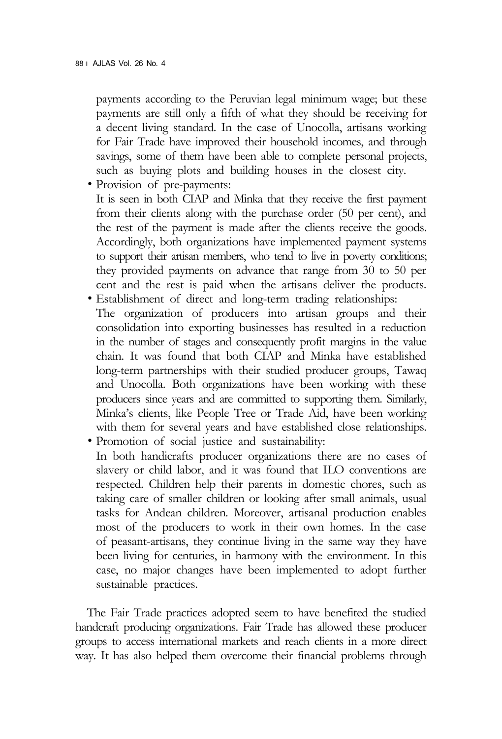payments according to the Peruvian legal minimum wage; but these payments are still only a fifth of what they should be receiving for a decent living standard. In the case of Unocolla, artisans working for Fair Trade have improved their household incomes, and through savings, some of them have been able to complete personal projects, such as buying plots and building houses in the closest city. <sup>∙</sup> Provision of pre-payments:

It is seen in both CIAP and Minka that they receive the first payment from their clients along with the purchase order (50 per cent), and the rest of the payment is made after the clients receive the goods. Accordingly, both organizations have implemented payment systems to support their artisan members, who tend to live in poverty conditions; they provided payments on advance that range from 30 to 50 per cent and the rest is paid when the artisans deliver the products. <sup>∙</sup> Establishment of direct and long-term trading relationships:

- The organization of producers into artisan groups and their consolidation into exporting businesses has resulted in a reduction in the number of stages and consequently profit margins in the value chain. It was found that both CIAP and Minka have established long-term partnerships with their studied producer groups, Tawaq and Unocolla. Both organizations have been working with these producers since years and are committed to supporting them. Similarly, Minka's clients, like People Tree or Trade Aid, have been working with them for several years and have established close relationships. <sup>∙</sup> Promotion of social justice and sustainability:
- In both handicrafts producer organizations there are no cases of slavery or child labor, and it was found that ILO conventions are respected. Children help their parents in domestic chores, such as taking care of smaller children or looking after small animals, usual tasks for Andean children. Moreover, artisanal production enables most of the producers to work in their own homes. In the case of peasant-artisans, they continue living in the same way they have been living for centuries, in harmony with the environment. In this case, no major changes have been implemented to adopt further sustainable practices.

The Fair Trade practices adopted seem to have benefited the studied handcraft producing organizations. Fair Trade has allowed these producer groups to access international markets and reach clients in a more direct way. It has also helped them overcome their financial problems through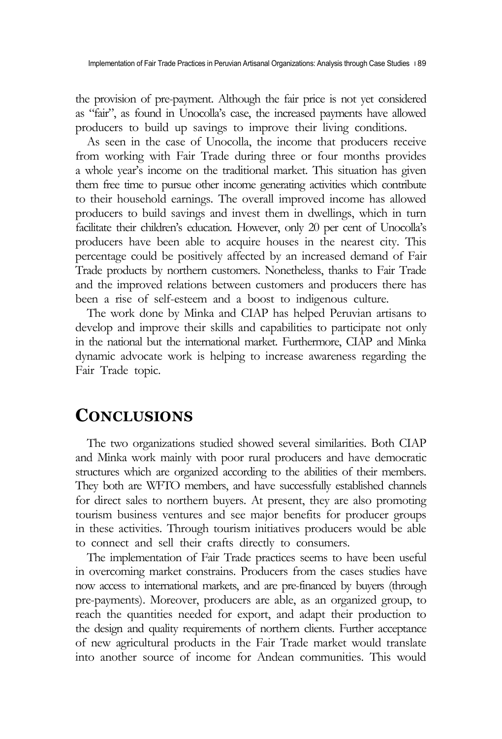Implementation of Fair Trade Practices in Peruvian Artisanal Organizations: Analysis through Case Studies 189

the provision of pre-payment. Although the fair price is not yet considered as "fair", as found in Unocolla's case, the increased payments have allowed producers to build up savings to improve their living conditions.

As seen in the case of Unocolla, the income that producers receive from working with Fair Trade during three or four months provides a whole year's income on the traditional market. This situation has given them free time to pursue other income generating activities which contribute to their household earnings. The overall improved income has allowed producers to build savings and invest them in dwellings, which in turn facilitate their children's education. However, only 20 per cent of Unocolla's producers have been able to acquire houses in the nearest city. This percentage could be positively affected by an increased demand of Fair Trade products by northern customers. Nonetheless, thanks to Fair Trade and the improved relations between customers and producers there has been a rise of self-esteem and a boost to indigenous culture.

The work done by Minka and CIAP has helped Peruvian artisans to develop and improve their skills and capabilities to participate not only in the national but the international market. Furthermore, CIAP and Minka dynamic advocate work is helping to increase awareness regarding the Fair Trade topic.

## **CONCLUSIONS**

The two organizations studied showed several similarities. Both CIAP and Minka work mainly with poor rural producers and have democratic structures which are organized according to the abilities of their members. They both are WFTO members, and have successfully established channels for direct sales to northern buyers. At present, they are also promoting tourism business ventures and see major benefits for producer groups in these activities. Through tourism initiatives producers would be able to connect and sell their crafts directly to consumers.

The implementation of Fair Trade practices seems to have been useful in overcoming market constrains. Producers from the cases studies have now access to international markets, and are pre-financed by buyers (through pre-payments). Moreover, producers are able, as an organized group, to reach the quantities needed for export, and adapt their production to the design and quality requirements of northern clients. Further acceptance of new agricultural products in the Fair Trade market would translate into another source of income for Andean communities. This would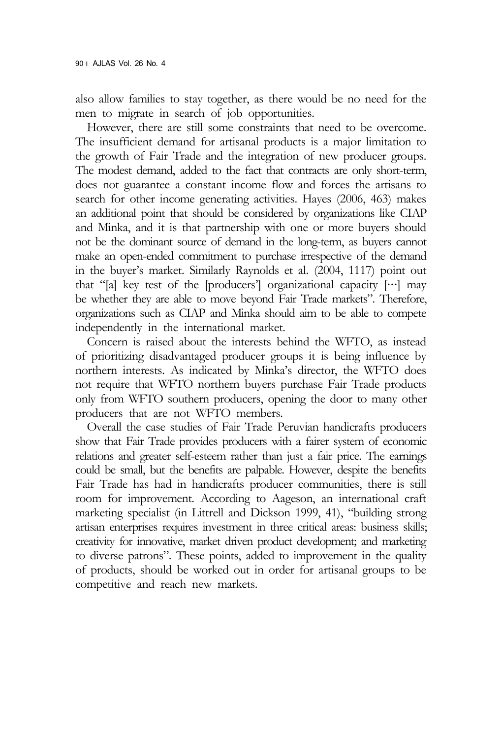also allow families to stay together, as there would be no need for the men to migrate in search of job opportunities.

However, there are still some constraints that need to be overcome. The insufficient demand for artisanal products is a major limitation to the growth of Fair Trade and the integration of new producer groups. The modest demand, added to the fact that contracts are only short-term, does not guarantee a constant income flow and forces the artisans to search for other income generating activities. Hayes (2006, 463) makes an additional point that should be considered by organizations like CIAP and Minka, and it is that partnership with one or more buyers should not be the dominant source of demand in the long-term, as buyers cannot make an open-ended commitment to purchase irrespective of the demand in the buyer's market. Similarly Raynolds et al. (2004, 1117) point out that "[a] key test of the [producers'] organizational capacity  $[\cdots]$  may be whether they are able to move beyond Fair Trade markets". Therefore, organizations such as CIAP and Minka should aim to be able to compete independently in the international market.

Concern is raised about the interests behind the WFTO, as instead of prioritizing disadvantaged producer groups it is being influence by northern interests. As indicated by Minka's director, the WFTO does not require that WFTO northern buyers purchase Fair Trade products only from WFTO southern producers, opening the door to many other producers that are not WFTO members.

Overall the case studies of Fair Trade Peruvian handicrafts producers show that Fair Trade provides producers with a fairer system of economic relations and greater self-esteem rather than just a fair price. The earnings could be small, but the benefits are palpable. However, despite the benefits Fair Trade has had in handicrafts producer communities, there is still room for improvement. According to Aageson, an international craft marketing specialist (in Littrell and Dickson 1999, 41), "building strong artisan enterprises requires investment in three critical areas: business skills; creativity for innovative, market driven product development; and marketing to diverse patrons". These points, added to improvement in the quality of products, should be worked out in order for artisanal groups to be competitive and reach new markets.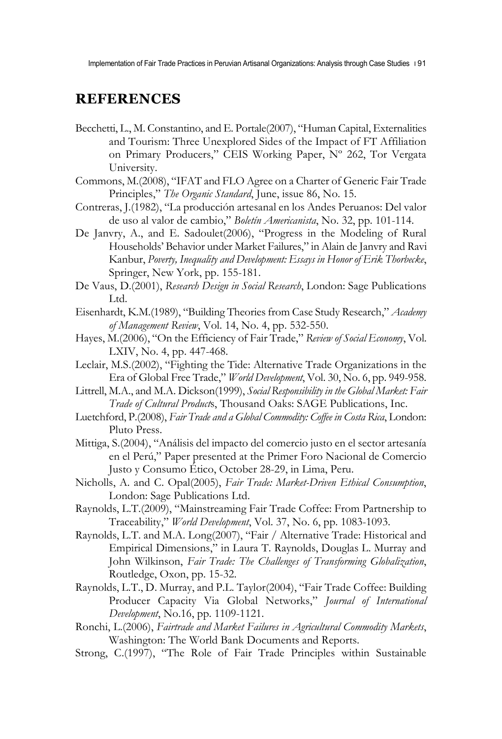Implementation of Fair Trade Practices in Peruvian Artisanal Organizations: Analysis through Case Studies  $\overline{191}$ 

#### **REFERENCES**

- Becchetti, L., M. Constantino, and E. Portale(2007), "Human Capital, Externalities and Tourism: Three Unexplored Sides of the Impact of FT Affiliation on Primary Producers," CEIS Working Paper, Nº 262, Tor Vergata University.
- Commons, M.(2008), "IFAT and FLO Agree on a Charter of Generic Fair Trade Principles," *The Organic Standard*, June, issue 86, No. 15.
- Contreras, J.(1982), "La producción artesanal en los Andes Peruanos: Del valor de uso al valor de cambio," *Boletín Americanista*, No. 32, pp. 101-114.
- De Janvry, A., and E. Sadoulet(2006), "Progress in the Modeling of Rural Households' Behavior under Market Failures," in Alain de Janvry and Ravi Kanbur, *Poverty, Inequality and Development: Essays in Honor of Erik Thorbecke*, Springer, New York, pp. 155-181.
- De Vaus, D.(2001), *Research Design in Social Research*, London: Sage Publications Ltd.
- Eisenhardt, K.M.(1989), "Building Theories from Case Study Research," *Academy of Management Review*, Vol. 14, No. 4, pp. 532-550.
- Hayes, M.(2006), "On the Efficiency of Fair Trade," *Review of Social Economy*, Vol. LXIV, No. 4, pp. 447-468.
- Leclair, M.S.(2002), "Fighting the Tide: Alternative Trade Organizations in the Era of Global Free Trade," *World Development*, Vol. 30, No. 6, pp. 949-958.
- Littrell, M.A., and M.A. Dickson(1999), *Social Responsibility in the Global Market: Fair Trade of Cultural Product*s, Thousand Oaks: SAGE Publications, Inc.
- Luetchford, P.(2008), *Fair Trade and a Global Commodity: Coffee in Costa Rica*, London: Pluto Press.
- Mittiga, S.(2004), "Análisis del impacto del comercio justo en el sector artesanía en el Perú," Paper presented at the Primer Foro Nacional de Comercio Justo y Consumo Ético, October 28-29, in Lima, Peru.
- Nicholls, A. and C. Opal(2005), *Fair Trade: Market-Driven Ethical Consumption*, London: Sage Publications Ltd.
- Raynolds, L.T.(2009), "Mainstreaming Fair Trade Coffee: From Partnership to Traceability," *World Development*, Vol. 37, No. 6, pp. 1083-1093.
- Raynolds, L.T. and M.A. Long(2007), "Fair / Alternative Trade: Historical and Empirical Dimensions," in Laura T. Raynolds, Douglas L. Murray and John Wilkinson, *Fair Trade: The Challenges of Transforming Globalization*, Routledge, Oxon, pp. 15-32.
- Raynolds, L.T., D. Murray, and P.L. Taylor(2004), "Fair Trade Coffee: Building Producer Capacity Via Global Networks," *Journal of International Development*, No.16, pp. 1109-1121.
- Ronchi, L.(2006), *Fairtrade and Market Failures in Agricultural Commodity Markets*, Washington: The World Bank Documents and Reports.
- Strong, C.(1997), "The Role of Fair Trade Principles within Sustainable